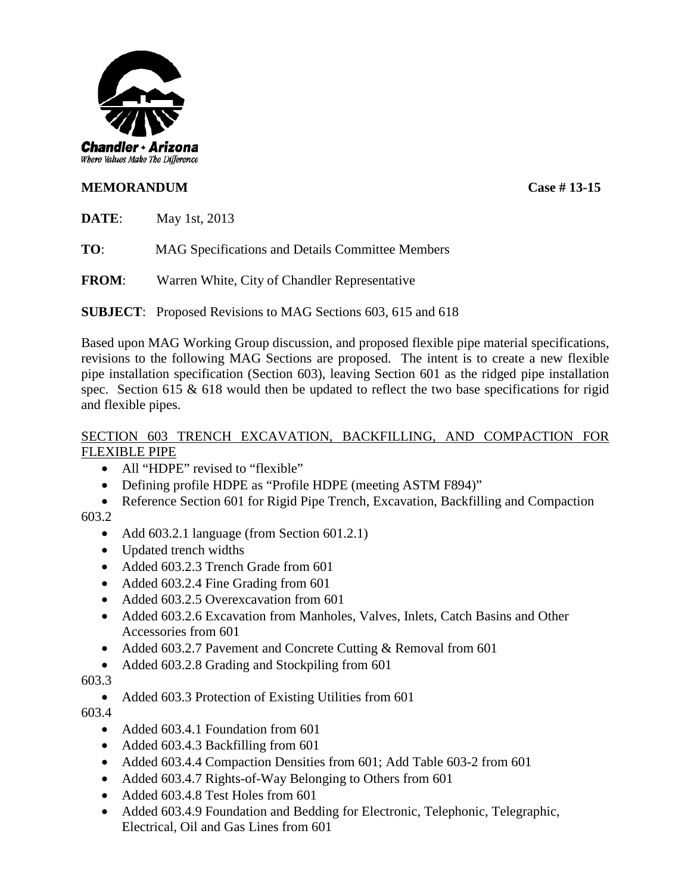

# **MEMORANDUM Case # 13-15**

**DATE**: May 1st, 2013

**TO**: MAG Specifications and Details Committee Members

**FROM**: Warren White, City of Chandler Representative

**SUBJECT**: Proposed Revisions to MAG Sections 603, 615 and 618

Based upon MAG Working Group discussion, and proposed flexible pipe material specifications, revisions to the following MAG Sections are proposed. The intent is to create a new flexible pipe installation specification (Section 603), leaving Section 601 as the ridged pipe installation spec. Section 615  $\&$  618 would then be updated to reflect the two base specifications for rigid and flexible pipes.

# SECTION 603 TRENCH EXCAVATION, BACKFILLING, AND COMPACTION FOR FLEXIBLE PIPE

- All "HDPE" revised to "flexible"
- Defining profile HDPE as "Profile HDPE (meeting ASTM F894)"
- Reference Section 601 for Rigid Pipe Trench, Excavation, Backfilling and Compaction

603.2

- Add 603.2.1 language (from Section 601.2.1)
- Updated trench widths
- Added 603.2.3 Trench Grade from 601
- Added 603.2.4 Fine Grading from 601
- Added 603.2.5 Overex cavation from 601
- Added 603.2.6 Excavation from Manholes, Valves, Inlets, Catch Basins and Other Accessories from 601
- Added 603.2.7 Pavement and Concrete Cutting & Removal from 601
- Added 603.2.8 Grading and Stockpiling from 601

603.3

• Added 603.3 Protection of Existing Utilities from 601

603.4

- Added 603.4.1 Foundation from 601
- Added 603.4.3 Backfilling from 601
- Added 603.4.4 Compaction Densities from 601; Add Table 603-2 from 601
- Added 603.4.7 Rights-of-Way Belonging to Others from 601
- Added 603.4.8 Test Holes from 601
- Added 603.4.9 Foundation and Bedding for Electronic, Telephonic, Telegraphic, Electrical, Oil and Gas Lines from 601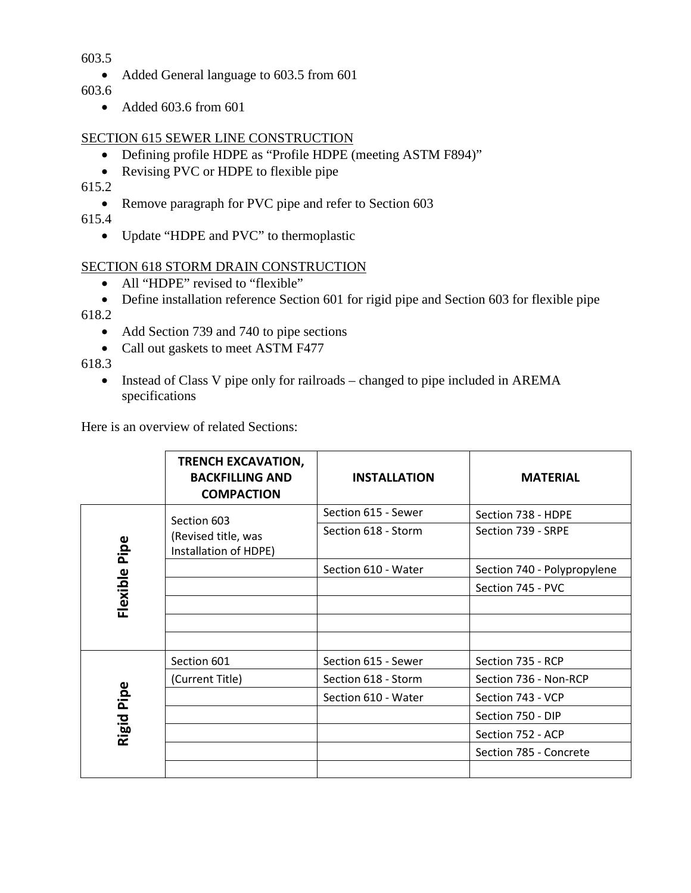603.5

• Added General language to 603.5 from 601

603.6

• Added 603.6 from 601

# SECTION 615 SEWER LINE CONSTRUCTION

- Defining profile HDPE as "Profile HDPE (meeting ASTM F894)"
- Revising PVC or HDPE to flexible pipe

615.2

• Remove paragraph for PVC pipe and refer to Section 603

615.4

• Update "HDPE and PVC" to thermoplastic

# SECTION 618 STORM DRAIN CONSTRUCTION

- All "HDPE" revised to "flexible"
- Define installation reference Section 601 for rigid pipe and Section 603 for flexible pipe 618.2
	- Add Section 739 and 740 to pipe sections
	- Call out gaskets to meet ASTM F477

618.3

• Instead of Class V pipe only for railroads – changed to pipe included in AREMA specifications

Here is an overview of related Sections:

|               | <b>TRENCH EXCAVATION,</b><br><b>BACKFILLING AND</b><br><b>COMPACTION</b> | <b>INSTALLATION</b> | <b>MATERIAL</b>             |
|---------------|--------------------------------------------------------------------------|---------------------|-----------------------------|
| Flexible Pipe | Section 603<br>(Revised title, was<br>Installation of HDPE)              | Section 615 - Sewer | Section 738 - HDPE          |
|               |                                                                          | Section 618 - Storm | Section 739 - SRPE          |
|               |                                                                          | Section 610 - Water | Section 740 - Polypropylene |
|               |                                                                          |                     | Section 745 - PVC           |
|               |                                                                          |                     |                             |
|               |                                                                          |                     |                             |
|               |                                                                          |                     |                             |
| Pipe<br>Rigid | Section 601                                                              | Section 615 - Sewer | Section 735 - RCP           |
|               | (Current Title)                                                          | Section 618 - Storm | Section 736 - Non-RCP       |
|               |                                                                          | Section 610 - Water | Section 743 - VCP           |
|               |                                                                          |                     | Section 750 - DIP           |
|               |                                                                          |                     | Section 752 - ACP           |
|               |                                                                          |                     | Section 785 - Concrete      |
|               |                                                                          |                     |                             |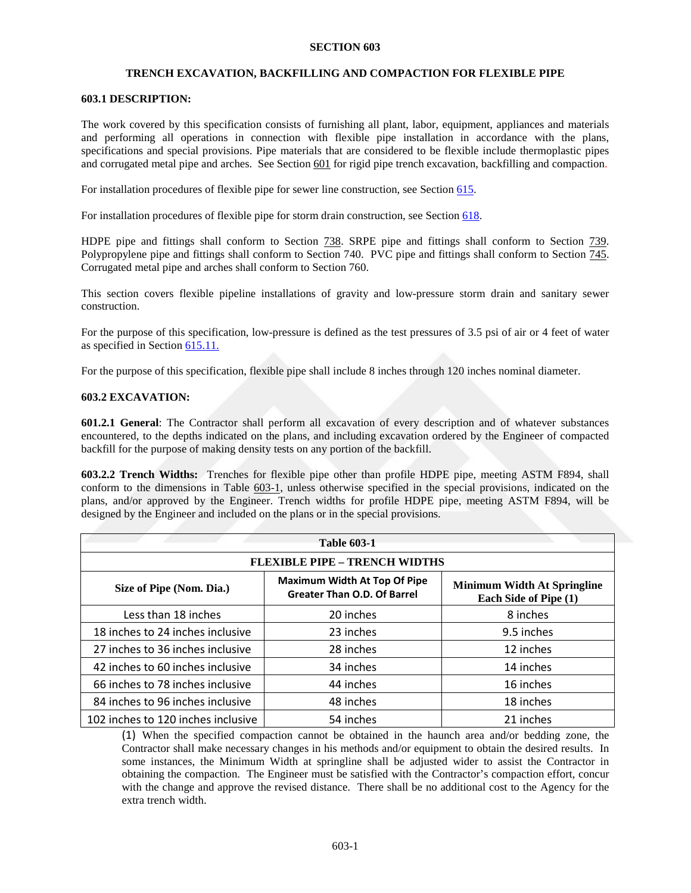# **TRENCH EXCAVATION, BACKFILLING AND COMPACTION FOR FLEXIBLE PIPE**

# **603.1 DESCRIPTION:**

The work covered by this specification consists of furnishing all plant, labor, equipment, appliances and materials and performing all operations in connection with flexible pipe installation in accordance with the plans, specifications and special provisions. Pipe materials that are considered to be flexible include thermoplastic pipes and corrugated metal pipe and arches. See Section 601 for rigid pipe trench excavation, backfilling and compaction.

For installation procedures of flexible pipe for sewer line construction, see Section 615.

For installation procedures of flexible pipe for storm drain construction, see Section 618.

HDPE pipe and fittings shall conform to Section  $\frac{738}{28}$ . SRPE pipe and fittings shall conform to Section  $\frac{739}{28}$ . Polypropylene pipe and fittings shall conform to Section 740. PVC pipe and fittings shall conform to Section 745. Corrugated metal pipe and arches shall conform to Section 760.

This section covers flexible pipeline installations of gravity and low-pressure storm drain and sanitary sewer construction.

For the purpose of this specification, low-pressure is defined as the test pressures of 3.5 psi of air or 4 feet of water as specified in Section 615.11.

For the purpose of this specification, flexible pipe shall include 8 inches through 120 inches nominal diameter.

# **603.2 EXCAVATION:**

**601.2.1 General**: The Contractor shall perform all excavation of every description and of whatever substances encountered, to the depths indicated on the plans, and including excavation ordered by the Engineer of compacted backfill for the purpose of making density tests on any portion of the backfill.

**603.2.2 Trench Widths:** Trenches for flexible pipe other than profile HDPE pipe, meeting ASTM F894, shall conform to the dimensions in Table 603-1, unless otherwise specified in the special provisions, indicated on the plans, and/or approved by the Engineer. Trench widths for profile HDPE pipe, meeting ASTM F894, will be designed by the Engineer and included on the plans or in the special provisions.

| <b>Table 603-1</b>                   |                                                                           |                                                             |  |  |  |  |
|--------------------------------------|---------------------------------------------------------------------------|-------------------------------------------------------------|--|--|--|--|
| <b>FLEXIBLE PIPE - TRENCH WIDTHS</b> |                                                                           |                                                             |  |  |  |  |
| Size of Pipe (Nom. Dia.)             | <b>Maximum Width At Top Of Pipe</b><br><b>Greater Than O.D. Of Barrel</b> | <b>Minimum Width At Springline</b><br>Each Side of Pipe (1) |  |  |  |  |
| Less than 18 inches                  | 20 inches                                                                 | 8 inches                                                    |  |  |  |  |
| 18 inches to 24 inches inclusive     | 23 inches                                                                 | 9.5 inches                                                  |  |  |  |  |
| 27 inches to 36 inches inclusive     | 28 inches                                                                 | 12 inches                                                   |  |  |  |  |
| 42 inches to 60 inches inclusive     | 34 inches                                                                 | 14 inches                                                   |  |  |  |  |
| 66 inches to 78 inches inclusive     | 44 inches                                                                 | 16 inches                                                   |  |  |  |  |
| 84 inches to 96 inches inclusive     | 48 inches                                                                 | 18 inches                                                   |  |  |  |  |
| 102 inches to 120 inches inclusive   | 54 inches                                                                 | 21 inches                                                   |  |  |  |  |

(1) When the specified compaction cannot be obtained in the haunch area and/or bedding zone, the Contractor shall make necessary changes in his methods and/or equipment to obtain the desired results. In some instances, the Minimum Width at springline shall be adjusted wider to assist the Contractor in obtaining the compaction. The Engineer must be satisfied with the Contractor's compaction effort, concur with the change and approve the revised distance. There shall be no additional cost to the Agency for the extra trench width.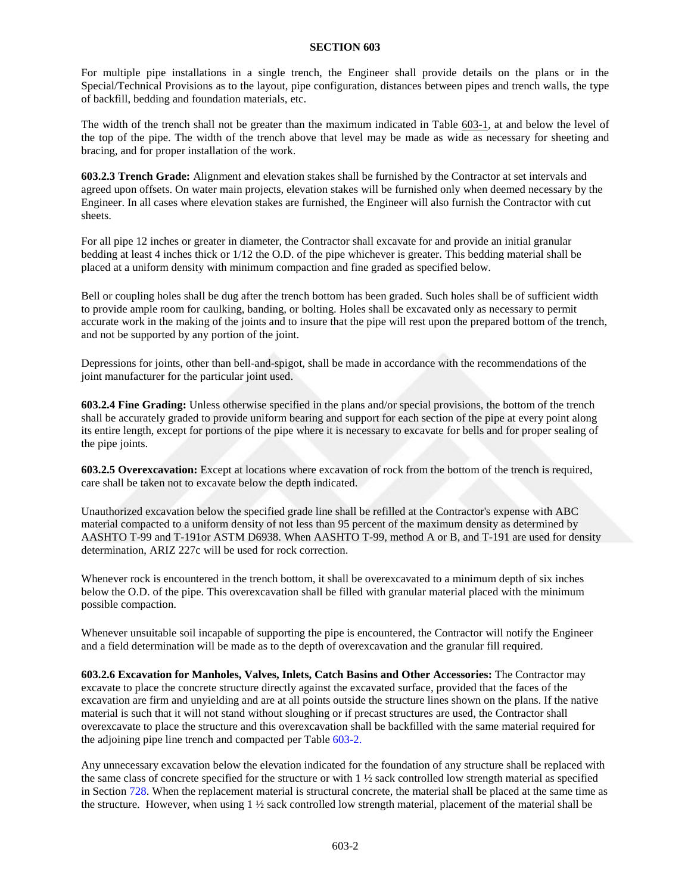For multiple pipe installations in a single trench, the Engineer shall provide details on the plans or in the Special/Technical Provisions as to the layout, pipe configuration, distances between pipes and trench walls, the type of backfill, bedding and foundation materials, etc.

The width of the trench shall not be greater than the maximum indicated in Table 603-1, at and below the level of the top of the pipe. The width of the trench above that level may be made as wide as necessary for sheeting and bracing, and for proper installation of the work.

**603.2.3 Trench Grade:** Alignment and elevation stakes shall be furnished by the Contractor at set intervals and agreed upon offsets. On water main projects, elevation stakes will be furnished only when deemed necessary by the Engineer. In all cases where elevation stakes are furnished, the Engineer will also furnish the Contractor with cut sheets.

For all pipe 12 inches or greater in diameter, the Contractor shall excavate for and provide an initial granular bedding at least 4 inches thick or 1/12 the O.D. of the pipe whichever is greater. This bedding material shall be placed at a uniform density with minimum compaction and fine graded as specified below.

Bell or coupling holes shall be dug after the trench bottom has been graded. Such holes shall be of sufficient width to provide ample room for caulking, banding, or bolting. Holes shall be excavated only as necessary to permit accurate work in the making of the joints and to insure that the pipe will rest upon the prepared bottom of the trench, and not be supported by any portion of the joint.

Depressions for joints, other than bell-and-spigot, shall be made in accordance with the recommendations of the joint manufacturer for the particular joint used.

**603.2.4 Fine Grading:** Unless otherwise specified in the plans and/or special provisions, the bottom of the trench shall be accurately graded to provide uniform bearing and support for each section of the pipe at every point along its entire length, except for portions of the pipe where it is necessary to excavate for bells and for proper sealing of the pipe joints.

**603.2.5 Overexcavation:** Except at locations where excavation of rock from the bottom of the trench is required, care shall be taken not to excavate below the depth indicated.

Unauthorized excavation below the specified grade line shall be refilled at the Contractor's expense with ABC material compacted to a uniform density of not less than 95 percent of the maximum density as determined by AASHTO T-99 and T-191or ASTM D6938. When AASHTO T-99, method A or B, and T-191 are used for density determination, ARIZ 227c will be used for rock correction.

Whenever rock is encountered in the trench bottom, it shall be overexcavated to a minimum depth of six inches below the O.D. of the pipe. This overexcavation shall be filled with granular material placed with the minimum possible compaction.

Whenever unsuitable soil incapable of supporting the pipe is encountered, the Contractor will notify the Engineer and a field determination will be made as to the depth of overexcavation and the granular fill required.

**603.2.6 Excavation for Manholes, Valves, Inlets, Catch Basins and Other Accessories:** The Contractor may excavate to place the concrete structure directly against the excavated surface, provided that the faces of the excavation are firm and unyielding and are at all points outside the structure lines shown on the plans. If the native material is such that it will not stand without sloughing or if precast structures are used, the Contractor shall overexcavate to place the structure and this overexcavation shall be backfilled with the same material required for the adjoining pipe line trench and compacted per Table 603-2.

Any unnecessary excavation below the elevation indicated for the foundation of any structure shall be replaced with the same class of concrete specified for the structure or with 1 ½ sack controlled low strength material as specified in Section 728. When the replacement material is structural concrete, the material shall be placed at the same time as the structure. However, when using  $1 \frac{1}{2}$  sack controlled low strength material, placement of the material shall be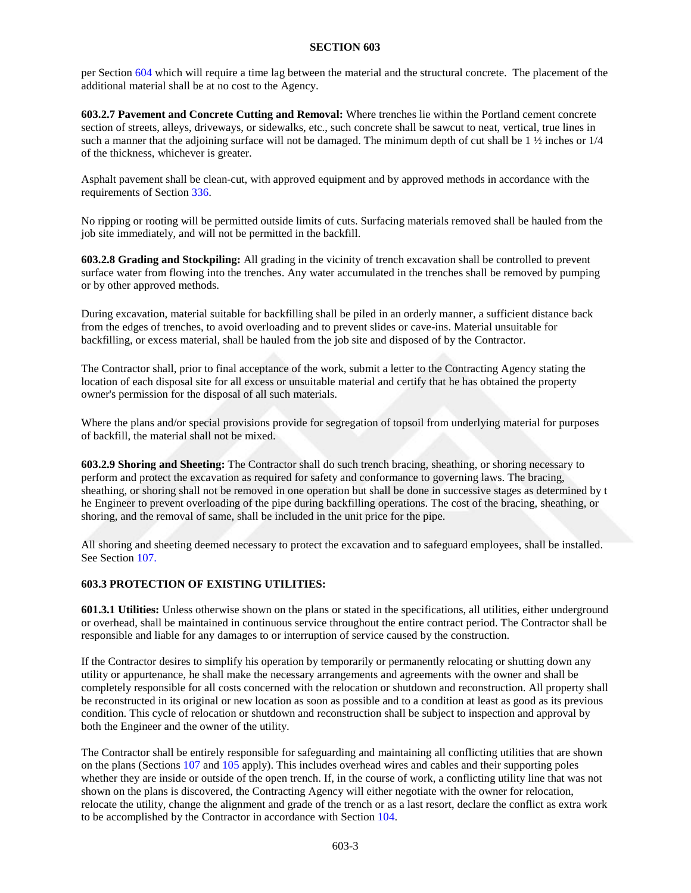per Section 604 which will require a time lag between the material and the structural concrete. The placement of the additional material shall be at no cost to the Agency.

**603.2.7 Pavement and Concrete Cutting and Removal:** Where trenches lie within the Portland cement concrete section of streets, alleys, driveways, or sidewalks, etc., such concrete shall be sawcut to neat, vertical, true lines in such a manner that the adjoining surface will not be damaged. The minimum depth of cut shall be  $1 \frac{1}{2}$  inches or  $1/4$ of the thickness, whichever is greater.

Asphalt pavement shall be clean-cut, with approved equipment and by approved methods in accordance with the requirements of Section 336.

No ripping or rooting will be permitted outside limits of cuts. Surfacing materials removed shall be hauled from the job site immediately, and will not be permitted in the backfill.

**603.2.8 Grading and Stockpiling:** All grading in the vicinity of trench excavation shall be controlled to prevent surface water from flowing into the trenches. Any water accumulated in the trenches shall be removed by pumping or by other approved methods.

During excavation, material suitable for backfilling shall be piled in an orderly manner, a sufficient distance back from the edges of trenches, to avoid overloading and to prevent slides or cave-ins. Material unsuitable for backfilling, or excess material, shall be hauled from the job site and disposed of by the Contractor.

The Contractor shall, prior to final acceptance of the work, submit a letter to the Contracting Agency stating the location of each disposal site for all excess or unsuitable material and certify that he has obtained the property owner's permission for the disposal of all such materials.

Where the plans and/or special provisions provide for segregation of topsoil from underlying material for purposes of backfill, the material shall not be mixed.

**603.2.9 Shoring and Sheeting:** The Contractor shall do such trench bracing, sheathing, or shoring necessary to perform and protect the excavation as required for safety and conformance to governing laws. The bracing, sheathing, or shoring shall not be removed in one operation but shall be done in successive stages as determined by t he Engineer to prevent overloading of the pipe during backfilling operations. The cost of the bracing, sheathing, or shoring, and the removal of same, shall be included in the unit price for the pipe.

All shoring and sheeting deemed necessary to protect the excavation and to safeguard employees, shall be installed. See Section 107.

## **603.3 PROTECTION OF EXISTING UTILITIES:**

**601.3.1 Utilities:** Unless otherwise shown on the plans or stated in the specifications, all utilities, either underground or overhead, shall be maintained in continuous service throughout the entire contract period. The Contractor shall be responsible and liable for any damages to or interruption of service caused by the construction.

If the Contractor desires to simplify his operation by temporarily or permanently relocating or shutting down any utility or appurtenance, he shall make the necessary arrangements and agreements with the owner and shall be completely responsible for all costs concerned with the relocation or shutdown and reconstruction. All property shall be reconstructed in its original or new location as soon as possible and to a condition at least as good as its previous condition. This cycle of relocation or shutdown and reconstruction shall be subject to inspection and approval by both the Engineer and the owner of the utility.

The Contractor shall be entirely responsible for safeguarding and maintaining all conflicting utilities that are shown on the plans (Sections 107 and 105 apply). This includes overhead wires and cables and their supporting poles whether they are inside or outside of the open trench. If, in the course of work, a conflicting utility line that was not shown on the plans is discovered, the Contracting Agency will either negotiate with the owner for relocation, relocate the utility, change the alignment and grade of the trench or as a last resort, declare the conflict as extra work to be accomplished by the Contractor in accordance with Section 104.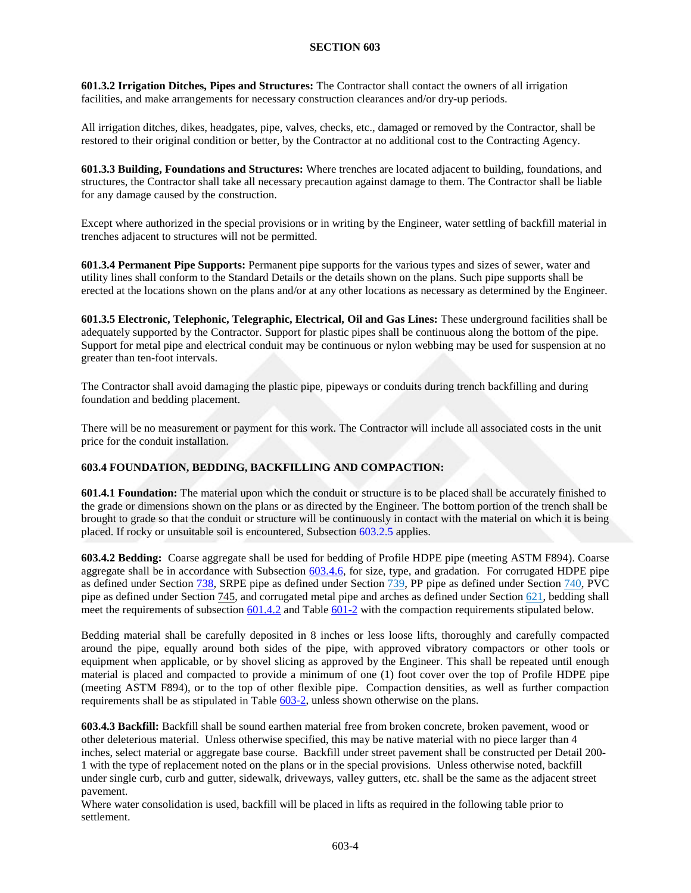**601.3.2 Irrigation Ditches, Pipes and Structures:** The Contractor shall contact the owners of all irrigation facilities, and make arrangements for necessary construction clearances and/or dry-up periods.

All irrigation ditches, dikes, headgates, pipe, valves, checks, etc., damaged or removed by the Contractor, shall be restored to their original condition or better, by the Contractor at no additional cost to the Contracting Agency.

**601.3.3 Building, Foundations and Structures:** Where trenches are located adjacent to building, foundations, and structures, the Contractor shall take all necessary precaution against damage to them. The Contractor shall be liable for any damage caused by the construction.

Except where authorized in the special provisions or in writing by the Engineer, water settling of backfill material in trenches adjacent to structures will not be permitted.

**601.3.4 Permanent Pipe Supports:** Permanent pipe supports for the various types and sizes of sewer, water and utility lines shall conform to the Standard Details or the details shown on the plans. Such pipe supports shall be erected at the locations shown on the plans and/or at any other locations as necessary as determined by the Engineer.

**601.3.5 Electronic, Telephonic, Telegraphic, Electrical, Oil and Gas Lines:** These underground facilities shall be adequately supported by the Contractor. Support for plastic pipes shall be continuous along the bottom of the pipe. Support for metal pipe and electrical conduit may be continuous or nylon webbing may be used for suspension at no greater than ten-foot intervals.

The Contractor shall avoid damaging the plastic pipe, pipeways or conduits during trench backfilling and during foundation and bedding placement.

There will be no measurement or payment for this work. The Contractor will include all associated costs in the unit price for the conduit installation.

## **603.4 FOUNDATION, BEDDING, BACKFILLING AND COMPACTION:**

**601.4.1 Foundation:** The material upon which the conduit or structure is to be placed shall be accurately finished to the grade or dimensions shown on the plans or as directed by the Engineer. The bottom portion of the trench shall be brought to grade so that the conduit or structure will be continuously in contact with the material on which it is being placed. If rocky or unsuitable soil is encountered, Subsection 603.2.5 applies.

**603.4.2 Bedding:** Coarse aggregate shall be used for bedding of Profile HDPE pipe (meeting ASTM F894). Coarse aggregate shall be in accordance with Subsection  $603.4.6$ , for size, type, and gradation. For corrugated HDPE pipe as defined under Section 738, SRPE pipe as defined under Section 739, PP pipe as defined under Section 740, PVC pipe as defined under Section 745, and corrugated metal pipe and arches as defined under Section 621, bedding shall meet the requirements of subsection 601.4.2 and Table 601-2 with the compaction requirements stipulated below.

Bedding material shall be carefully deposited in 8 inches or less loose lifts, thoroughly and carefully compacted around the pipe, equally around both sides of the pipe, with approved vibratory compactors or other tools or equipment when applicable, or by shovel slicing as approved by the Engineer. This shall be repeated until enough material is placed and compacted to provide a minimum of one (1) foot cover over the top of Profile HDPE pipe (meeting ASTM F894), or to the top of other flexible pipe. Compaction densities, as well as further compaction requirements shall be as stipulated in Table 603-2, unless shown otherwise on the plans.

**603.4.3 Backfill:** Backfill shall be sound earthen material free from broken concrete, broken pavement, wood or other deleterious material. Unless otherwise specified, this may be native material with no piece larger than 4 inches, select material or aggregate base course. Backfill under street pavement shall be constructed per Detail 200- 1 with the type of replacement noted on the plans or in the special provisions. Unless otherwise noted, backfill under single curb, curb and gutter, sidewalk, driveways, valley gutters, etc. shall be the same as the adjacent street pavement.

Where water consolidation is used, backfill will be placed in lifts as required in the following table prior to settlement.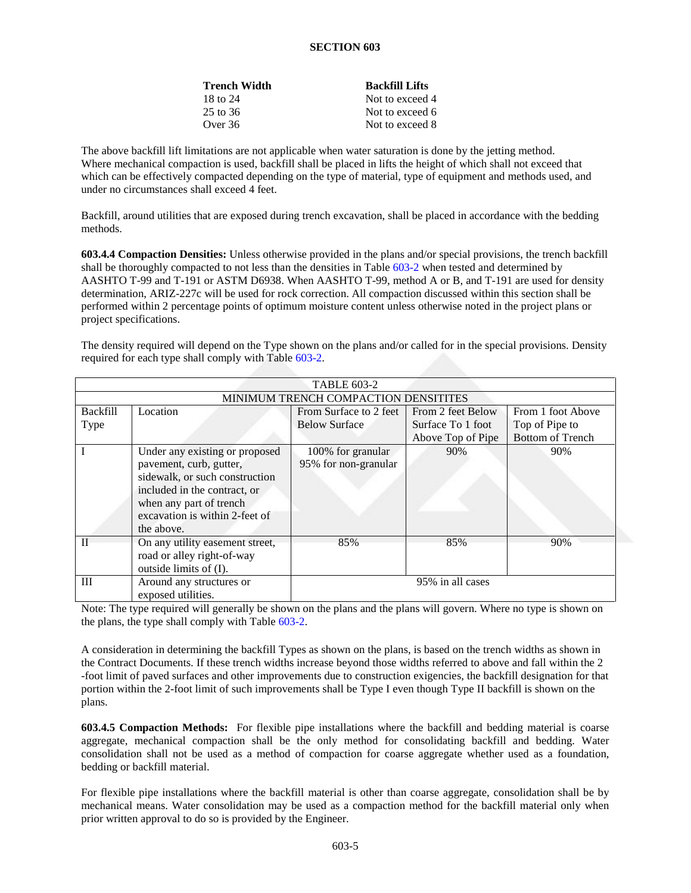| <b>Trench Width</b> | <b>Backfill Lifts</b> |
|---------------------|-----------------------|
| 18 to 24            | Not to exceed 4       |
| 25 to 36            | Not to exceed 6       |
| Over 36             | Not to exceed 8       |

The above backfill lift limitations are not applicable when water saturation is done by the jetting method. Where mechanical compaction is used, backfill shall be placed in lifts the height of which shall not exceed that which can be effectively compacted depending on the type of material, type of equipment and methods used, and under no circumstances shall exceed 4 feet.

Backfill, around utilities that are exposed during trench excavation, shall be placed in accordance with the bedding methods.

**603.4.4 Compaction Densities:** Unless otherwise provided in the plans and/or special provisions, the trench backfill shall be thoroughly compacted to not less than the densities in Table 603-2 when tested and determined by AASHTO T-99 and T-191 or ASTM D6938. When AASHTO T-99, method A or B, and T-191 are used for density determination, ARIZ-227c will be used for rock correction. All compaction discussed within this section shall be performed within 2 percentage points of optimum moisture content unless otherwise noted in the project plans or project specifications.

The density required will depend on the Type shown on the plans and/or called for in the special provisions. Density required for each type shall comply with Table 603-2.

| <b>TABLE 603-2</b>                   |                                                                                                                                                                                                        |                                           |                                        |                                           |  |
|--------------------------------------|--------------------------------------------------------------------------------------------------------------------------------------------------------------------------------------------------------|-------------------------------------------|----------------------------------------|-------------------------------------------|--|
| MINIMUM TRENCH COMPACTION DENSITITES |                                                                                                                                                                                                        |                                           |                                        |                                           |  |
| <b>Backfill</b>                      | Location                                                                                                                                                                                               | From Surface to 2 feet                    | From 2 feet Below                      | From 1 foot Above                         |  |
| Type                                 |                                                                                                                                                                                                        | <b>Below Surface</b>                      | Surface To 1 foot<br>Above Top of Pipe | Top of Pipe to<br><b>Bottom of Trench</b> |  |
|                                      | Under any existing or proposed<br>pavement, curb, gutter,<br>sidewalk, or such construction<br>included in the contract, or<br>when any part of trench<br>excavation is within 2-feet of<br>the above. | 100% for granular<br>95% for non-granular | 90%                                    | 90%                                       |  |
| $\mathbf{I}$                         | On any utility easement street,<br>road or alley right-of-way<br>outside limits of (I).                                                                                                                | 85%                                       | 85%                                    | 90%                                       |  |
| III                                  | Around any structures or<br>exposed utilities.                                                                                                                                                         |                                           | 95% in all cases                       |                                           |  |

Note: The type required will generally be shown on the plans and the plans will govern. Where no type is shown on the plans, the type shall comply with Table 603-2.

A consideration in determining the backfill Types as shown on the plans, is based on the trench widths as shown in the Contract Documents. If these trench widths increase beyond those widths referred to above and fall within the 2 -foot limit of paved surfaces and other improvements due to construction exigencies, the backfill designation for that portion within the 2-foot limit of such improvements shall be Type I even though Type II backfill is shown on the plans.

**603.4.5 Compaction Methods:** For flexible pipe installations where the backfill and bedding material is coarse aggregate, mechanical compaction shall be the only method for consolidating backfill and bedding. Water consolidation shall not be used as a method of compaction for coarse aggregate whether used as a foundation, bedding or backfill material.

For flexible pipe installations where the backfill material is other than coarse aggregate, consolidation shall be by mechanical means. Water consolidation may be used as a compaction method for the backfill material only when prior written approval to do so is provided by the Engineer.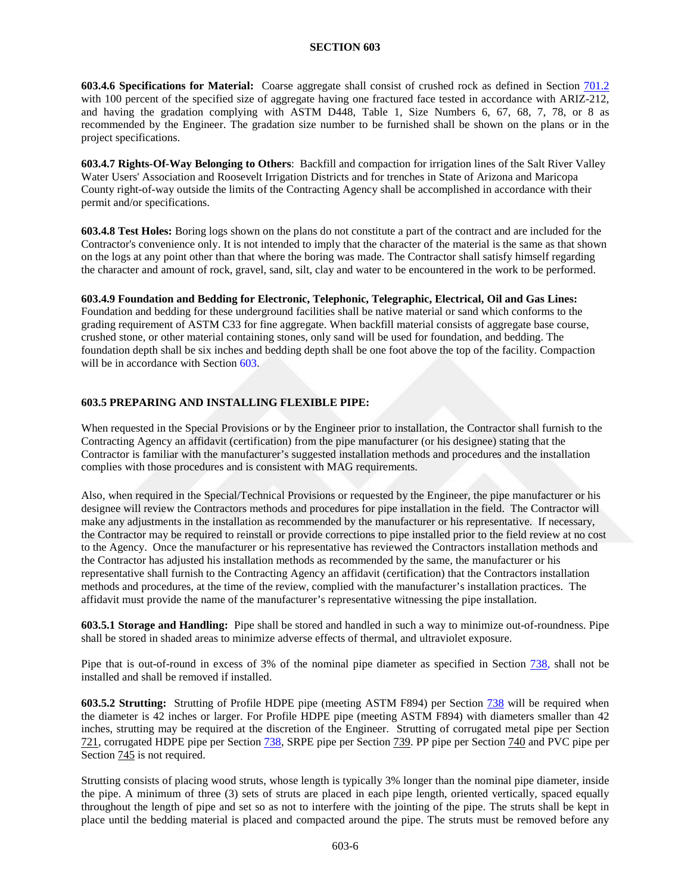<span id="page-7-0"></span>**603.4.6 Specifications for Material:** Coarse aggregate shall consist of crushed rock as defined in Section 701.2 with 100 percent of the specified size of aggregate having one fractured face tested in accordance with ARIZ-212, and having the gradation complying with ASTM D448, Table 1, Size Numbers 6, 67, 68, 7, 78, or 8 as recommended by the Engineer. The gradation size number to be furnished shall be shown on the plans or in the project specifications.

**603.4.7 Rights-Of-Way Belonging to Others**: Backfill and compaction for irrigation lines of the Salt River Valley Water Users' Association and Roosevelt Irrigation Districts and for trenches in State of Arizona and Maricopa County right-of-way outside the limits of the Contracting Agency shall be accomplished in accordance with their permit and/or specifications.

**603.4.8 Test Holes:** Boring logs shown on the plans do not constitute a part of the contract and are included for the Contractor's convenience only. It is not intended to imply that the character of the material is the same as that shown on the logs at any point other than that where the boring was made. The Contractor shall satisfy himself regarding the character and amount of rock, gravel, sand, silt, clay and water to be encountered in the work to be performed.

**603.4.9 Foundation and Bedding for Electronic, Telephonic, Telegraphic, Electrical, Oil and Gas Lines:**  Foundation and bedding for these underground facilities shall be native material or sand which conforms to the grading requirement of ASTM C33 for fine aggregate. When backfill material consists of aggregate base course, crushed stone, or other material containing stones, only sand will be used for foundation, and bedding. The foundation depth shall be six inches and bedding depth shall be one foot above the top of the facility. Compaction will be in accordance with Section 603.

# **603.5 PREPARING AND INSTALLING FLEXIBLE PIPE:**

When requested in the Special Provisions or by the Engineer prior to installation, the Contractor shall furnish to the Contracting Agency an affidavit (certification) from the pipe manufacturer (or his designee) stating that the Contractor is familiar with the manufacturer's suggested installation methods and procedures and the installation complies with those procedures and is consistent with MAG requirements.

Also, when required in the Special/Technical Provisions or requested by the Engineer, the pipe manufacturer or his designee will review the Contractors methods and procedures for pipe installation in the field. The Contractor will make any adjustments in the installation as recommended by the manufacturer or his representative. If necessary, the Contractor may be required to reinstall or provide corrections to pipe installed prior to the field review at no cost to the Agency. Once the manufacturer or his representative has reviewed the Contractors installation methods and the Contractor has adjusted his installation methods as recommended by the same, the manufacturer or his representative shall furnish to the Contracting Agency an affidavit (certification) that the Contractors installation methods and procedures, at the time of the review, complied with the manufacturer's installation practices. The affidavit must provide the name of the manufacturer's representative witnessing the pipe installation.

**603.5.1 Storage and Handling:** Pipe shall be stored and handled in such a way to minimize out-of-roundness. Pipe shall be stored in shaded areas to minimize adverse effects of thermal, and ultraviolet exposure.

Pipe that is out-of-round in excess of 3% of the nominal pipe diameter as specified in Section 738, shall not be installed and shall be removed if installed.

**603.5.2 Strutting:** Strutting of Profile HDPE pipe (meeting ASTM F894) per Section 738 will be required when the diameter is 42 inches or larger. For Profile HDPE pipe (meeting ASTM F894) with diameters smaller than 42 inches, strutting may be required at the discretion of the Engineer. Strutting of corrugated metal pipe per Section 721, corrugated HDPE pipe per Section 738, SRPE pipe per Section 739. PP pipe per Section 740 and PVC pipe per Section  $\frac{745}{2}$  is not required.

Strutting consists of placing wood struts, whose length is typically 3% longer than the nominal pipe diameter, inside the pipe. A minimum of three (3) sets of struts are placed in each pipe length, oriented vertically, spaced equally throughout the length of pipe and set so as not to interfere with the jointing of the pipe. The struts shall be kept in place until the bedding material is placed and compacted around the pipe. The struts must be removed before any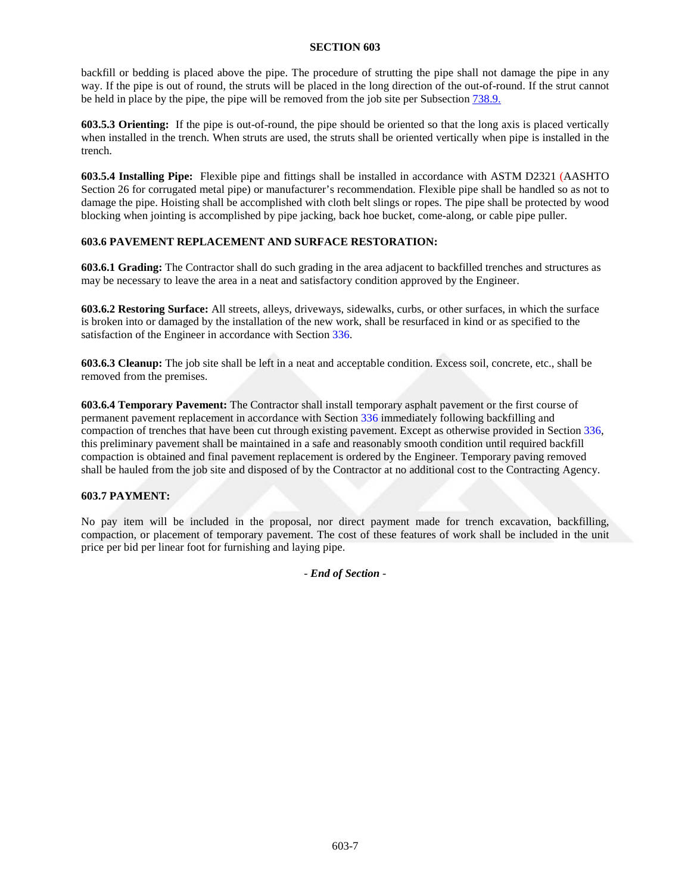backfill or bedding is placed above the pipe. The procedure of strutting the pipe shall not damage the pipe in any way. If the pipe is out of round, the struts will be placed in the long direction of the out-of-round. If the strut cannot be held in place by the pipe, the pipe will be removed from the job site per Subsection 738.9.

**603.5.3 Orienting:** If the pipe is out-of-round, the pipe should be oriented so that the long axis is placed vertically when installed in the trench. When struts are used, the struts shall be oriented vertically when pipe is installed in the trench.

**603.5.4 Installing Pipe:** Flexible pipe and fittings shall be installed in accordance with ASTM D2321 (AASHTO Section 26 for corrugated metal pipe) or manufacturer's recommendation. Flexible pipe shall be handled so as not to damage the pipe. Hoisting shall be accomplished with cloth belt slings or ropes. The pipe shall be protected by wood blocking when jointing is accomplished by pipe jacking, back hoe bucket, come-along, or cable pipe puller.

# **603.6 PAVEMENT REPLACEMENT AND SURFACE RESTORATION:**

**603.6.1 Grading:** The Contractor shall do such grading in the area adjacent to backfilled trenches and structures as may be necessary to leave the area in a neat and satisfactory condition approved by the Engineer.

**603.6.2 Restoring Surface:** All streets, alleys, driveways, sidewalks, curbs, or other surfaces, in which the surface is broken into or damaged by the installation of the new work, shall be resurfaced in kind or as specified to the satisfaction of the Engineer in accordance with Section 336.

**603.6.3 Cleanup:** The job site shall be left in a neat and acceptable condition. Excess soil, concrete, etc., shall be removed from the premises.

**603.6.4 Temporary Pavement:** The Contractor shall install temporary asphalt pavement or the first course of permanent pavement replacement in accordance with Section 336 immediately following backfilling and compaction of trenches that have been cut through existing pavement. Except as otherwise provided in Section 336, this preliminary pavement shall be maintained in a safe and reasonably smooth condition until required backfill compaction is obtained and final pavement replacement is ordered by the Engineer. Temporary paving removed shall be hauled from the job site and disposed of by the Contractor at no additional cost to the Contracting Agency.

# **603.7 PAYMENT:**

No pay item will be included in the proposal, nor direct payment made for trench excavation, backfilling, compaction, or placement of temporary pavement. The cost of these features of work shall be included in the unit price per bid per linear foot for furnishing and laying pipe.

- *End of Section* -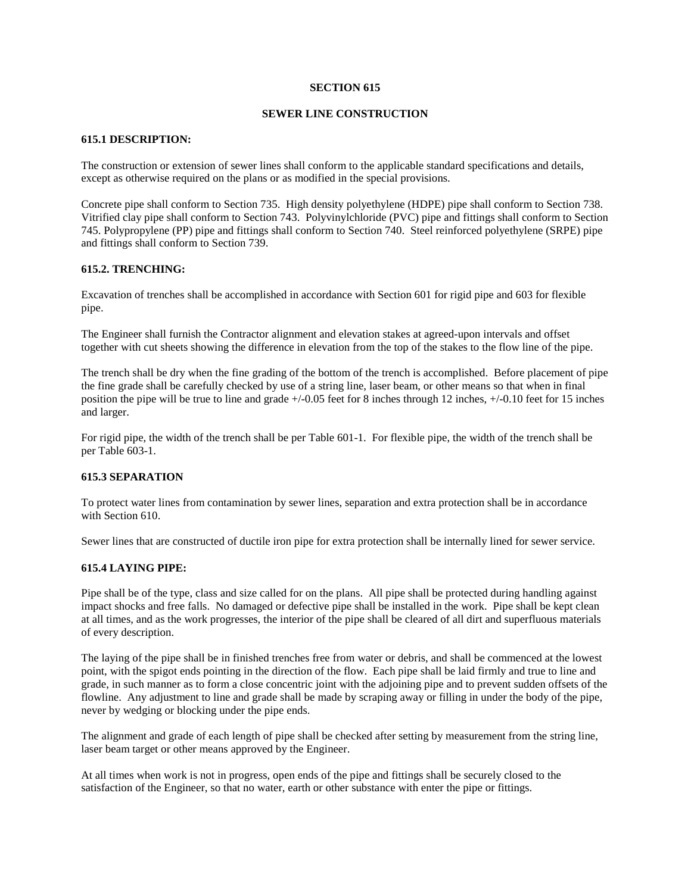### **SEWER LINE CONSTRUCTION**

### **615.1 DESCRIPTION:**

The construction or extension of sewer lines shall conform to the applicable standard specifications and details, except as otherwise required on the plans or as modified in the special provisions.

Concrete pipe shall conform to Section 735. High density polyethylene (HDPE) pipe shall conform to Section 738. Vitrified clay pipe shall conform to Section 743. Polyvinylchloride (PVC) pipe and fittings shall conform to Section 745. Polypropylene (PP) pipe and fittings shall conform to Section 740. Steel reinforced polyethylene (SRPE) pipe and fittings shall conform to Section 739.

## **615.2. TRENCHING:**

Excavation of trenches shall be accomplished in accordance with Section 601 for rigid pipe and 603 for flexible pipe.

The Engineer shall furnish the Contractor alignment and elevation stakes at agreed-upon intervals and offset together with cut sheets showing the difference in elevation from the top of the stakes to the flow line of the pipe.

The trench shall be dry when the fine grading of the bottom of the trench is accomplished. Before placement of pipe the fine grade shall be carefully checked by use of a string line, laser beam, or other means so that when in final position the pipe will be true to line and grade +/-0.05 feet for 8 inches through 12 inches, +/-0.10 feet for 15 inches and larger.

For rigid pipe, the width of the trench shall be per Table 601-1. For flexible pipe, the width of the trench shall be per Table 603-1.

## **615.3 SEPARATION**

To protect water lines from contamination by sewer lines, separation and extra protection shall be in accordance with Section 610.

Sewer lines that are constructed of ductile iron pipe for extra protection shall be internally lined for sewer service.

#### **615.4 LAYING PIPE:**

Pipe shall be of the type, class and size called for on the plans. All pipe shall be protected during handling against impact shocks and free falls. No damaged or defective pipe shall be installed in the work. Pipe shall be kept clean at all times, and as the work progresses, the interior of the pipe shall be cleared of all dirt and superfluous materials of every description.

The laying of the pipe shall be in finished trenches free from water or debris, and shall be commenced at the lowest point, with the spigot ends pointing in the direction of the flow. Each pipe shall be laid firmly and true to line and grade, in such manner as to form a close concentric joint with the adjoining pipe and to prevent sudden offsets of the flowline. Any adjustment to line and grade shall be made by scraping away or filling in under the body of the pipe, never by wedging or blocking under the pipe ends.

The alignment and grade of each length of pipe shall be checked after setting by measurement from the string line, laser beam target or other means approved by the Engineer.

At all times when work is not in progress, open ends of the pipe and fittings shall be securely closed to the satisfaction of the Engineer, so that no water, earth or other substance with enter the pipe or fittings.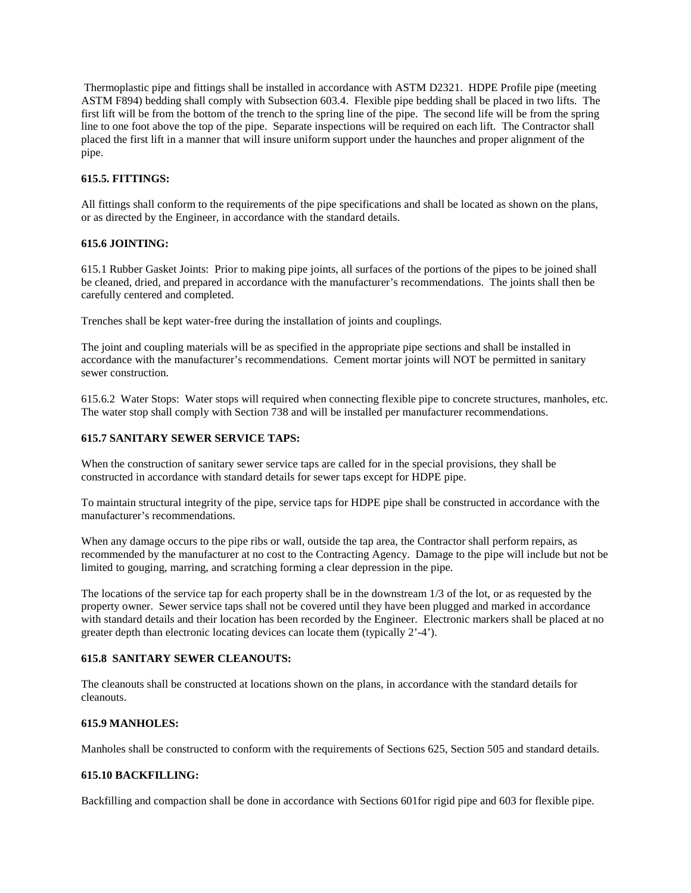Thermoplastic pipe and fittings shall be installed in accordance with ASTM D2321. HDPE Profile pipe (meeting ASTM F894) bedding shall comply with Subsection 603.4. Flexible pipe bedding shall be placed in two lifts. The first lift will be from the bottom of the trench to the spring line of the pipe. The second life will be from the spring line to one foot above the top of the pipe. Separate inspections will be required on each lift. The Contractor shall placed the first lift in a manner that will insure uniform support under the haunches and proper alignment of the pipe.

# **615.5. FITTINGS:**

All fittings shall conform to the requirements of the pipe specifications and shall be located as shown on the plans, or as directed by the Engineer, in accordance with the standard details.

## **615.6 JOINTING:**

615.1 Rubber Gasket Joints: Prior to making pipe joints, all surfaces of the portions of the pipes to be joined shall be cleaned, dried, and prepared in accordance with the manufacturer's recommendations. The joints shall then be carefully centered and completed.

Trenches shall be kept water-free during the installation of joints and couplings.

The joint and coupling materials will be as specified in the appropriate pipe sections and shall be installed in accordance with the manufacturer's recommendations. Cement mortar joints will NOT be permitted in sanitary sewer construction.

615.6.2 Water Stops: Water stops will required when connecting flexible pipe to concrete structures, manholes, etc. The water stop shall comply with Section 738 and will be installed per manufacturer recommendations.

# **615.7 SANITARY SEWER SERVICE TAPS:**

When the construction of sanitary sewer service taps are called for in the special provisions, they shall be constructed in accordance with standard details for sewer taps except for HDPE pipe.

To maintain structural integrity of the pipe, service taps for HDPE pipe shall be constructed in accordance with the manufacturer's recommendations.

When any damage occurs to the pipe ribs or wall, outside the tap area, the Contractor shall perform repairs, as recommended by the manufacturer at no cost to the Contracting Agency. Damage to the pipe will include but not be limited to gouging, marring, and scratching forming a clear depression in the pipe.

The locations of the service tap for each property shall be in the downstream 1/3 of the lot, or as requested by the property owner. Sewer service taps shall not be covered until they have been plugged and marked in accordance with standard details and their location has been recorded by the Engineer. Electronic markers shall be placed at no greater depth than electronic locating devices can locate them (typically 2'-4').

# **615.8 SANITARY SEWER CLEANOUTS:**

The cleanouts shall be constructed at locations shown on the plans, in accordance with the standard details for cleanouts.

## **615.9 MANHOLES:**

Manholes shall be constructed to conform with the requirements of Sections 625, Section 505 and standard details.

# **615.10 BACKFILLING:**

Backfilling and compaction shall be done in accordance with Sections 601for rigid pipe and 603 for flexible pipe.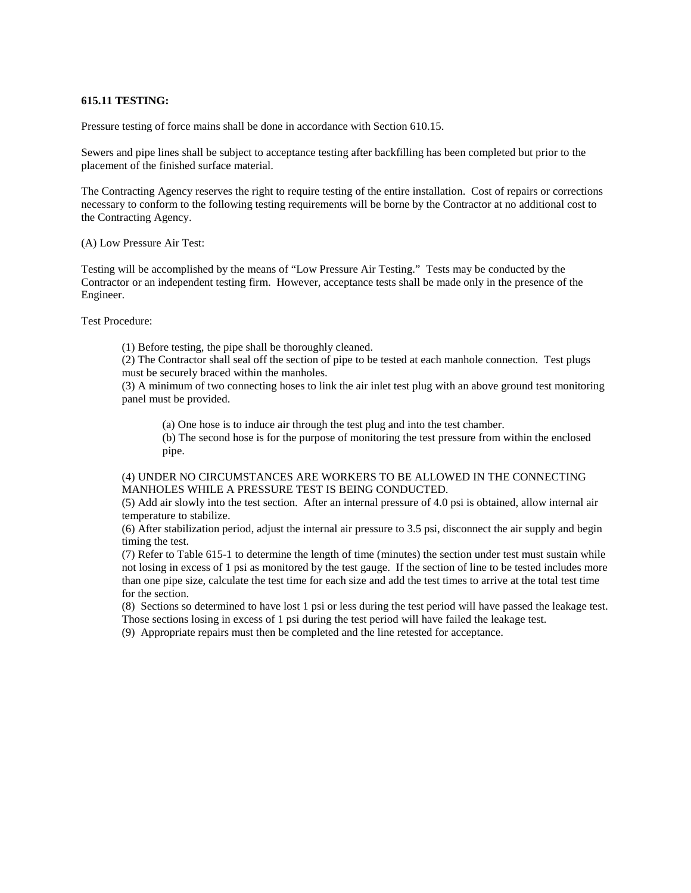## **615.11 TESTING:**

Pressure testing of force mains shall be done in accordance with Section 610.15.

Sewers and pipe lines shall be subject to acceptance testing after backfilling has been completed but prior to the placement of the finished surface material.

The Contracting Agency reserves the right to require testing of the entire installation. Cost of repairs or corrections necessary to conform to the following testing requirements will be borne by the Contractor at no additional cost to the Contracting Agency.

(A) Low Pressure Air Test:

Testing will be accomplished by the means of "Low Pressure Air Testing." Tests may be conducted by the Contractor or an independent testing firm. However, acceptance tests shall be made only in the presence of the Engineer.

Test Procedure:

(1) Before testing, the pipe shall be thoroughly cleaned.

(2) The Contractor shall seal off the section of pipe to be tested at each manhole connection. Test plugs must be securely braced within the manholes.

(3) A minimum of two connecting hoses to link the air inlet test plug with an above ground test monitoring panel must be provided.

(a) One hose is to induce air through the test plug and into the test chamber.

(b) The second hose is for the purpose of monitoring the test pressure from within the enclosed pipe.

# (4) UNDER NO CIRCUMSTANCES ARE WORKERS TO BE ALLOWED IN THE CONNECTING MANHOLES WHILE A PRESSURE TEST IS BEING CONDUCTED.

(5) Add air slowly into the test section. After an internal pressure of 4.0 psi is obtained, allow internal air temperature to stabilize.

(6) After stabilization period, adjust the internal air pressure to 3.5 psi, disconnect the air supply and begin timing the test.

(7) Refer to Table 615-1 to determine the length of time (minutes) the section under test must sustain while not losing in excess of 1 psi as monitored by the test gauge. If the section of line to be tested includes more than one pipe size, calculate the test time for each size and add the test times to arrive at the total test time for the section.

(8) Sections so determined to have lost 1 psi or less during the test period will have passed the leakage test. Those sections losing in excess of 1 psi during the test period will have failed the leakage test.

(9) Appropriate repairs must then be completed and the line retested for acceptance.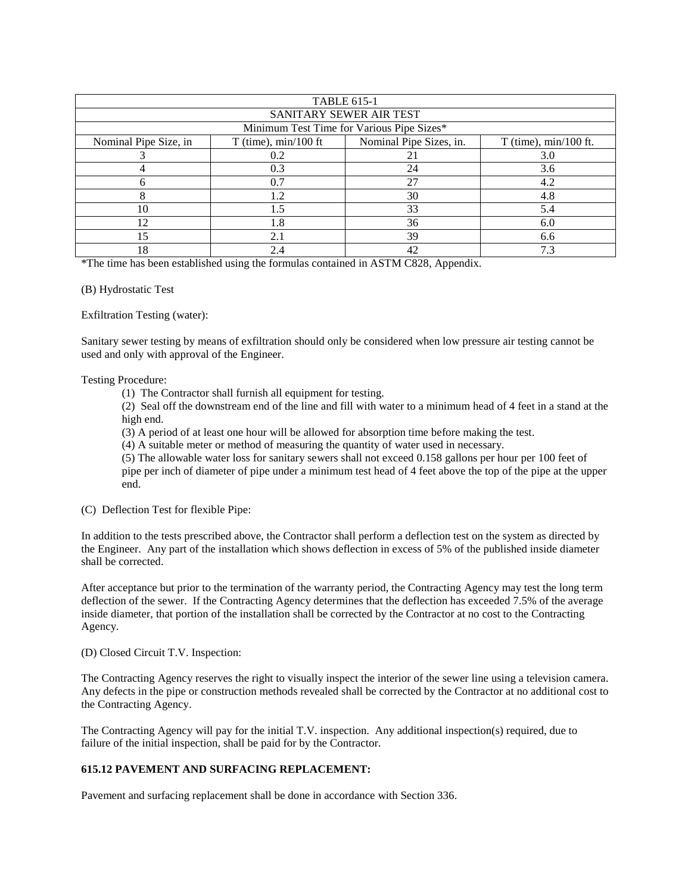| <b>TABLE 615-1</b>                        |                        |                         |                         |  |  |  |
|-------------------------------------------|------------------------|-------------------------|-------------------------|--|--|--|
| SANITARY SEWER AIR TEST                   |                        |                         |                         |  |  |  |
| Minimum Test Time for Various Pipe Sizes* |                        |                         |                         |  |  |  |
| Nominal Pipe Size, in                     | $T$ (time), min/100 ft | Nominal Pipe Sizes, in. | $T$ (time), min/100 ft. |  |  |  |
|                                           | 0.2                    | 21                      | 3.0                     |  |  |  |
|                                           | 0.3                    | 24                      | 3.6                     |  |  |  |
|                                           | 0.7                    | 27                      | 4.2                     |  |  |  |
|                                           | 1.2                    | 30                      | 4.8                     |  |  |  |
| 10                                        | 1.5                    | 33                      | 5.4                     |  |  |  |
| 12                                        | 1.8                    | 36                      | 6.0                     |  |  |  |
| 15                                        | 2.1                    | 39                      | 6.6                     |  |  |  |
| 18                                        | 2.4                    | 42                      |                         |  |  |  |

\*The time has been established using the formulas contained in ASTM C828, Appendix.

(B) Hydrostatic Test

Exfiltration Testing (water):

Sanitary sewer testing by means of exfiltration should only be considered when low pressure air testing cannot be used and only with approval of the Engineer.

#### Testing Procedure:

(1) The Contractor shall furnish all equipment for testing.

(2) Seal off the downstream end of the line and fill with water to a minimum head of 4 feet in a stand at the high end.

(3) A period of at least one hour will be allowed for absorption time before making the test.

(4) A suitable meter or method of measuring the quantity of water used in necessary.

(5) The allowable water loss for sanitary sewers shall not exceed 0.158 gallons per hour per 100 feet of pipe per inch of diameter of pipe under a minimum test head of 4 feet above the top of the pipe at the upper end.

(C) Deflection Test for flexible Pipe:

In addition to the tests prescribed above, the Contractor shall perform a deflection test on the system as directed by the Engineer. Any part of the installation which shows deflection in excess of 5% of the published inside diameter shall be corrected.

After acceptance but prior to the termination of the warranty period, the Contracting Agency may test the long term deflection of the sewer. If the Contracting Agency determines that the deflection has exceeded 7.5% of the average inside diameter, that portion of the installation shall be corrected by the Contractor at no cost to the Contracting Agency.

(D) Closed Circuit T.V. Inspection:

The Contracting Agency reserves the right to visually inspect the interior of the sewer line using a television camera. Any defects in the pipe or construction methods revealed shall be corrected by the Contractor at no additional cost to the Contracting Agency.

The Contracting Agency will pay for the initial T.V. inspection. Any additional inspection(s) required, due to failure of the initial inspection, shall be paid for by the Contractor.

## **615.12 PAVEMENT AND SURFACING REPLACEMENT:**

Pavement and surfacing replacement shall be done in accordance with Section 336.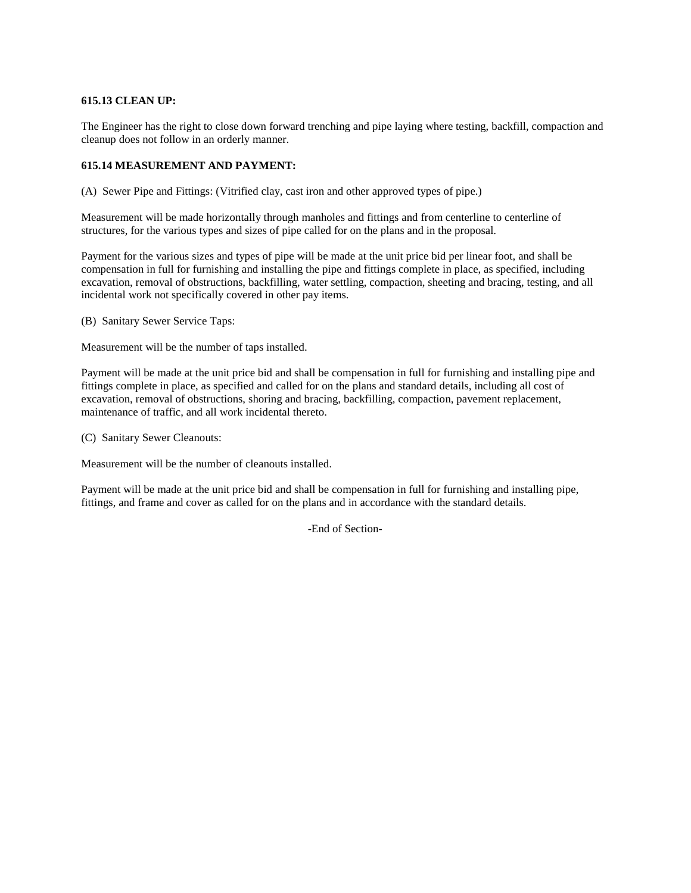# **615.13 CLEAN UP:**

The Engineer has the right to close down forward trenching and pipe laying where testing, backfill, compaction and cleanup does not follow in an orderly manner.

## **615.14 MEASUREMENT AND PAYMENT:**

(A) Sewer Pipe and Fittings: (Vitrified clay, cast iron and other approved types of pipe.)

Measurement will be made horizontally through manholes and fittings and from centerline to centerline of structures, for the various types and sizes of pipe called for on the plans and in the proposal.

Payment for the various sizes and types of pipe will be made at the unit price bid per linear foot, and shall be compensation in full for furnishing and installing the pipe and fittings complete in place, as specified, including excavation, removal of obstructions, backfilling, water settling, compaction, sheeting and bracing, testing, and all incidental work not specifically covered in other pay items.

(B) Sanitary Sewer Service Taps:

Measurement will be the number of taps installed.

Payment will be made at the unit price bid and shall be compensation in full for furnishing and installing pipe and fittings complete in place, as specified and called for on the plans and standard details, including all cost of excavation, removal of obstructions, shoring and bracing, backfilling, compaction, pavement replacement, maintenance of traffic, and all work incidental thereto.

(C) Sanitary Sewer Cleanouts:

Measurement will be the number of cleanouts installed.

Payment will be made at the unit price bid and shall be compensation in full for furnishing and installing pipe, fittings, and frame and cover as called for on the plans and in accordance with the standard details.

-End of Section-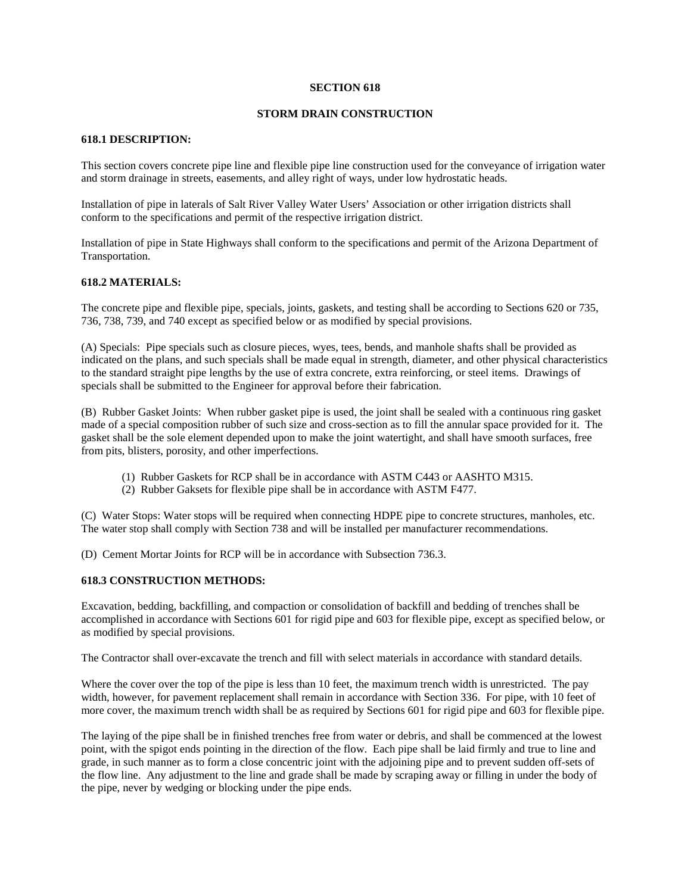## **STORM DRAIN CONSTRUCTION**

#### **618.1 DESCRIPTION:**

This section covers concrete pipe line and flexible pipe line construction used for the conveyance of irrigation water and storm drainage in streets, easements, and alley right of ways, under low hydrostatic heads.

Installation of pipe in laterals of Salt River Valley Water Users' Association or other irrigation districts shall conform to the specifications and permit of the respective irrigation district.

Installation of pipe in State Highways shall conform to the specifications and permit of the Arizona Department of Transportation.

#### **618.2 MATERIALS:**

The concrete pipe and flexible pipe, specials, joints, gaskets, and testing shall be according to Sections 620 or 735, 736, 738, 739, and 740 except as specified below or as modified by special provisions.

(A) Specials: Pipe specials such as closure pieces, wyes, tees, bends, and manhole shafts shall be provided as indicated on the plans, and such specials shall be made equal in strength, diameter, and other physical characteristics to the standard straight pipe lengths by the use of extra concrete, extra reinforcing, or steel items. Drawings of specials shall be submitted to the Engineer for approval before their fabrication.

(B) Rubber Gasket Joints: When rubber gasket pipe is used, the joint shall be sealed with a continuous ring gasket made of a special composition rubber of such size and cross-section as to fill the annular space provided for it. The gasket shall be the sole element depended upon to make the joint watertight, and shall have smooth surfaces, free from pits, blisters, porosity, and other imperfections.

- (1) Rubber Gaskets for RCP shall be in accordance with ASTM C443 or AASHTO M315.
- (2) Rubber Gaksets for flexible pipe shall be in accordance with ASTM F477.

(C) Water Stops: Water stops will be required when connecting HDPE pipe to concrete structures, manholes, etc. The water stop shall comply with Section 738 and will be installed per manufacturer recommendations.

(D) Cement Mortar Joints for RCP will be in accordance with Subsection 736.3.

#### **618.3 CONSTRUCTION METHODS:**

Excavation, bedding, backfilling, and compaction or consolidation of backfill and bedding of trenches shall be accomplished in accordance with Sections 601 for rigid pipe and 603 for flexible pipe, except as specified below, or as modified by special provisions.

The Contractor shall over-excavate the trench and fill with select materials in accordance with standard details.

Where the cover over the top of the pipe is less than 10 feet, the maximum trench width is unrestricted. The pay width, however, for pavement replacement shall remain in accordance with Section 336. For pipe, with 10 feet of more cover, the maximum trench width shall be as required by Sections 601 for rigid pipe and 603 for flexible pipe.

The laying of the pipe shall be in finished trenches free from water or debris, and shall be commenced at the lowest point, with the spigot ends pointing in the direction of the flow. Each pipe shall be laid firmly and true to line and grade, in such manner as to form a close concentric joint with the adjoining pipe and to prevent sudden off-sets of the flow line. Any adjustment to the line and grade shall be made by scraping away or filling in under the body of the pipe, never by wedging or blocking under the pipe ends.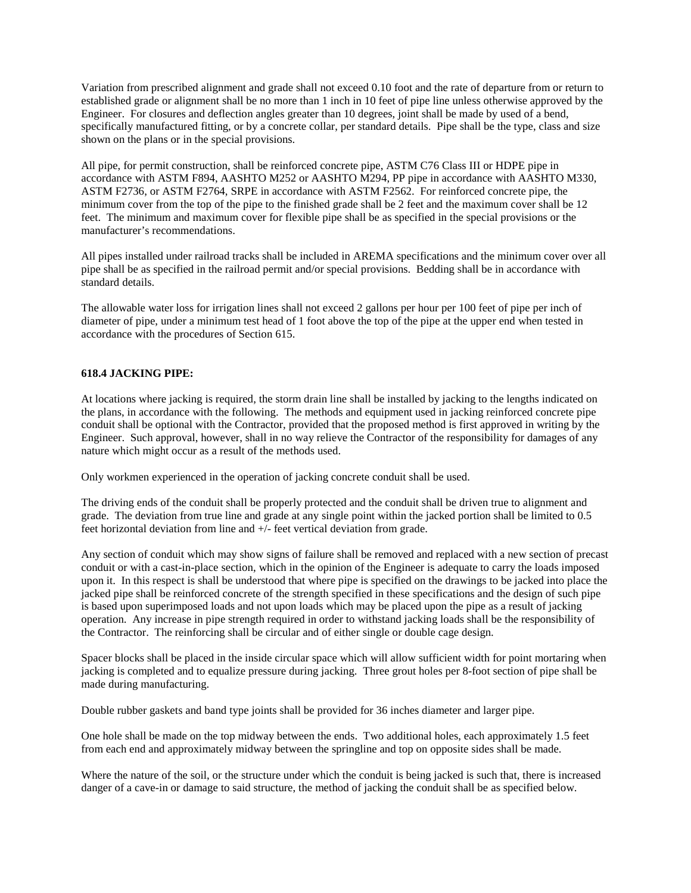Variation from prescribed alignment and grade shall not exceed 0.10 foot and the rate of departure from or return to established grade or alignment shall be no more than 1 inch in 10 feet of pipe line unless otherwise approved by the Engineer. For closures and deflection angles greater than 10 degrees, joint shall be made by used of a bend, specifically manufactured fitting, or by a concrete collar, per standard details. Pipe shall be the type, class and size shown on the plans or in the special provisions.

All pipe, for permit construction, shall be reinforced concrete pipe, ASTM C76 Class III or HDPE pipe in accordance with ASTM F894, AASHTO M252 or AASHTO M294, PP pipe in accordance with AASHTO M330, ASTM F2736, or ASTM F2764, SRPE in accordance with ASTM F2562. For reinforced concrete pipe, the minimum cover from the top of the pipe to the finished grade shall be 2 feet and the maximum cover shall be 12 feet. The minimum and maximum cover for flexible pipe shall be as specified in the special provisions or the manufacturer's recommendations.

All pipes installed under railroad tracks shall be included in AREMA specifications and the minimum cover over all pipe shall be as specified in the railroad permit and/or special provisions. Bedding shall be in accordance with standard details.

The allowable water loss for irrigation lines shall not exceed 2 gallons per hour per 100 feet of pipe per inch of diameter of pipe, under a minimum test head of 1 foot above the top of the pipe at the upper end when tested in accordance with the procedures of Section 615.

# **618.4 JACKING PIPE:**

At locations where jacking is required, the storm drain line shall be installed by jacking to the lengths indicated on the plans, in accordance with the following. The methods and equipment used in jacking reinforced concrete pipe conduit shall be optional with the Contractor, provided that the proposed method is first approved in writing by the Engineer. Such approval, however, shall in no way relieve the Contractor of the responsibility for damages of any nature which might occur as a result of the methods used.

Only workmen experienced in the operation of jacking concrete conduit shall be used.

The driving ends of the conduit shall be properly protected and the conduit shall be driven true to alignment and grade. The deviation from true line and grade at any single point within the jacked portion shall be limited to 0.5 feet horizontal deviation from line and +/- feet vertical deviation from grade.

Any section of conduit which may show signs of failure shall be removed and replaced with a new section of precast conduit or with a cast-in-place section, which in the opinion of the Engineer is adequate to carry the loads imposed upon it. In this respect is shall be understood that where pipe is specified on the drawings to be jacked into place the jacked pipe shall be reinforced concrete of the strength specified in these specifications and the design of such pipe is based upon superimposed loads and not upon loads which may be placed upon the pipe as a result of jacking operation. Any increase in pipe strength required in order to withstand jacking loads shall be the responsibility of the Contractor. The reinforcing shall be circular and of either single or double cage design.

Spacer blocks shall be placed in the inside circular space which will allow sufficient width for point mortaring when jacking is completed and to equalize pressure during jacking. Three grout holes per 8-foot section of pipe shall be made during manufacturing.

Double rubber gaskets and band type joints shall be provided for 36 inches diameter and larger pipe.

One hole shall be made on the top midway between the ends. Two additional holes, each approximately 1.5 feet from each end and approximately midway between the springline and top on opposite sides shall be made.

Where the nature of the soil, or the structure under which the conduit is being jacked is such that, there is increased danger of a cave-in or damage to said structure, the method of jacking the conduit shall be as specified below.